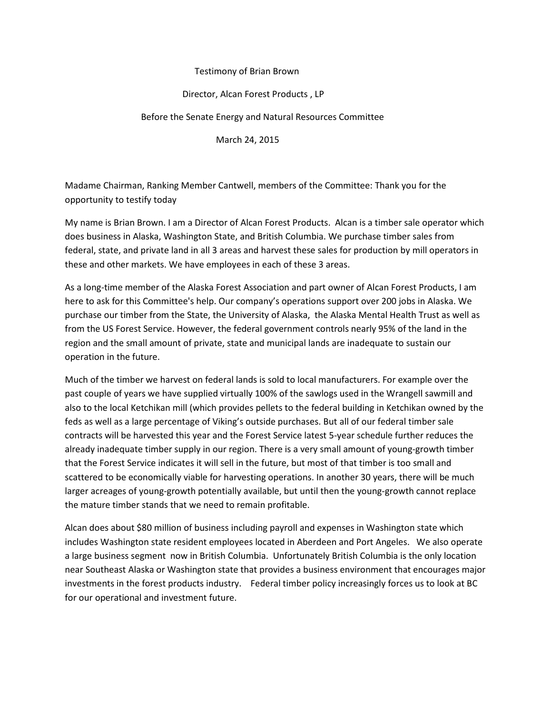#### Testimony of Brian Brown

#### Director, Alcan Forest Products , LP

#### Before the Senate Energy and Natural Resources Committee

March 24, 2015

Madame Chairman, Ranking Member Cantwell, members of the Committee: Thank you for the opportunity to testify today

My name is Brian Brown. I am a Director of Alcan Forest Products. Alcan is a timber sale operator which does business in Alaska, Washington State, and British Columbia. We purchase timber sales from federal, state, and private land in all 3 areas and harvest these sales for production by mill operators in these and other markets. We have employees in each of these 3 areas.

As a long-time member of the Alaska Forest Association and part owner of Alcan Forest Products, I am here to ask for this Committee's help. Our company's operations support over 200 jobs in Alaska. We purchase our timber from the State, the University of Alaska, the Alaska Mental Health Trust as well as from the US Forest Service. However, the federal government controls nearly 95% of the land in the region and the small amount of private, state and municipal lands are inadequate to sustain our operation in the future.

Much of the timber we harvest on federal lands is sold to local manufacturers. For example over the past couple of years we have supplied virtually 100% of the sawlogs used in the Wrangell sawmill and also to the local Ketchikan mill (which provides pellets to the federal building in Ketchikan owned by the feds as well as a large percentage of Viking's outside purchases. But all of our federal timber sale contracts will be harvested this year and the Forest Service latest 5-year schedule further reduces the already inadequate timber supply in our region. There is a very small amount of young-growth timber that the Forest Service indicates it will sell in the future, but most of that timber is too small and scattered to be economically viable for harvesting operations. In another 30 years, there will be much larger acreages of young-growth potentially available, but until then the young-growth cannot replace the mature timber stands that we need to remain profitable.

Alcan does about \$80 million of business including payroll and expenses in Washington state which includes Washington state resident employees located in Aberdeen and Port Angeles. We also operate a large business segment now in British Columbia. Unfortunately British Columbia is the only location near Southeast Alaska or Washington state that provides a business environment that encourages major investments in the forest products industry. Federal timber policy increasingly forces us to look at BC for our operational and investment future.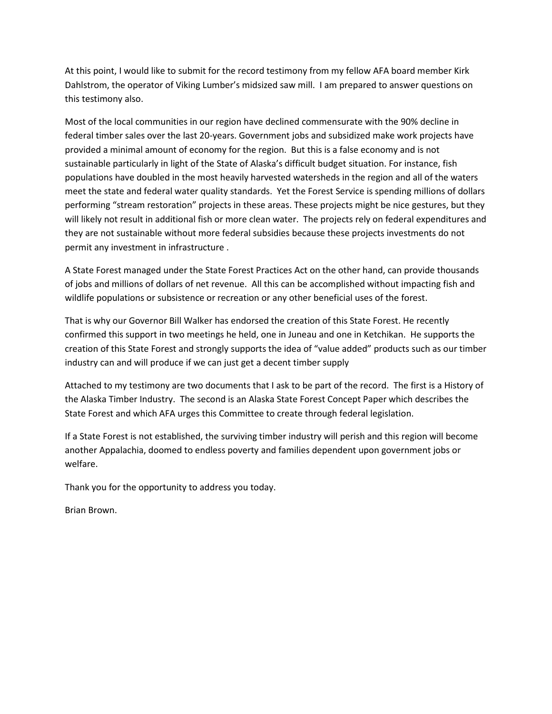At this point, I would like to submit for the record testimony from my fellow AFA board member Kirk Dahlstrom, the operator of Viking Lumber's midsized saw mill. I am prepared to answer questions on this testimony also.

Most of the local communities in our region have declined commensurate with the 90% decline in federal timber sales over the last 20-years. Government jobs and subsidized make work projects have provided a minimal amount of economy for the region. But this is a false economy and is not sustainable particularly in light of the State of Alaska's difficult budget situation. For instance, fish populations have doubled in the most heavily harvested watersheds in the region and all of the waters meet the state and federal water quality standards. Yet the Forest Service is spending millions of dollars performing "stream restoration" projects in these areas. These projects might be nice gestures, but they will likely not result in additional fish or more clean water. The projects rely on federal expenditures and they are not sustainable without more federal subsidies because these projects investments do not permit any investment in infrastructure .

A State Forest managed under the State Forest Practices Act on the other hand, can provide thousands of jobs and millions of dollars of net revenue. All this can be accomplished without impacting fish and wildlife populations or subsistence or recreation or any other beneficial uses of the forest.

That is why our Governor Bill Walker has endorsed the creation of this State Forest. He recently confirmed this support in two meetings he held, one in Juneau and one in Ketchikan. He supports the creation of this State Forest and strongly supports the idea of "value added" products such as our timber industry can and will produce if we can just get a decent timber supply

Attached to my testimony are two documents that I ask to be part of the record. The first is a History of the Alaska Timber Industry. The second is an Alaska State Forest Concept Paper which describes the State Forest and which AFA urges this Committee to create through federal legislation.

If a State Forest is not established, the surviving timber industry will perish and this region will become another Appalachia, doomed to endless poverty and families dependent upon government jobs or welfare.

Thank you for the opportunity to address you today.

Brian Brown.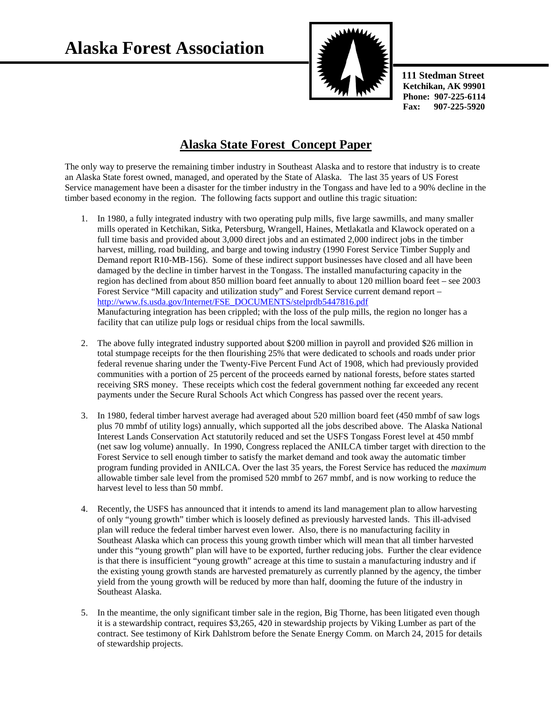**Alaska Forest Association**



 **111 Stedman Street Ketchikan, AK 99901 Phone: 907-225-6114 Fax: 907-225-5920** 

## **Alaska State Forest Concept Paper**

The only way to preserve the remaining timber industry in Southeast Alaska and to restore that industry is to create an Alaska State forest owned, managed, and operated by the State of Alaska. The last 35 years of US Forest Service management have been a disaster for the timber industry in the Tongass and have led to a 90% decline in the timber based economy in the region. The following facts support and outline this tragic situation:

- 1. In 1980, a fully integrated industry with two operating pulp mills, five large sawmills, and many smaller mills operated in Ketchikan, Sitka, Petersburg, Wrangell, Haines, Metlakatla and Klawock operated on a full time basis and provided about 3,000 direct jobs and an estimated 2,000 indirect jobs in the timber harvest, milling, road building, and barge and towing industry (1990 Forest Service Timber Supply and Demand report R10-MB-156). Some of these indirect support businesses have closed and all have been damaged by the decline in timber harvest in the Tongass. The installed manufacturing capacity in the region has declined from about 850 million board feet annually to about 120 million board feet – see 2003 Forest Service "Mill capacity and utilization study" and Forest Service current demand report – [http://www.fs.usda.gov/Internet/FSE\\_DOCUMENTS/stelprdb5447816.pdf](http://www.fs.usda.gov/Internet/FSE_DOCUMENTS/stelprdb5447816.pdf) Manufacturing integration has been crippled; with the loss of the pulp mills, the region no longer has a facility that can utilize pulp logs or residual chips from the local sawmills.
- 2. The above fully integrated industry supported about \$200 million in payroll and provided \$26 million in total stumpage receipts for the then flourishing 25% that were dedicated to schools and roads under prior federal revenue sharing under the Twenty-Five Percent Fund Act of 1908, which had previously provided communities with a portion of 25 percent of the proceeds earned by national forests, before states started receiving SRS money. These receipts which cost the federal government nothing far exceeded any recent payments under the Secure Rural Schools Act which Congress has passed over the recent years.
- 3. In 1980, federal timber harvest average had averaged about 520 million board feet (450 mmbf of saw logs plus 70 mmbf of utility logs) annually, which supported all the jobs described above. The Alaska National Interest Lands Conservation Act statutorily reduced and set the USFS Tongass Forest level at 450 mmbf (net saw log volume) annually. In 1990, Congress replaced the ANILCA timber target with direction to the Forest Service to sell enough timber to satisfy the market demand and took away the automatic timber program funding provided in ANILCA. Over the last 35 years, the Forest Service has reduced the *maximum* allowable timber sale level from the promised 520 mmbf to 267 mmbf, and is now working to reduce the harvest level to less than 50 mmbf.
- 4. Recently, the USFS has announced that it intends to amend its land management plan to allow harvesting of only "young growth" timber which is loosely defined as previously harvested lands. This ill-advised plan will reduce the federal timber harvest even lower. Also, there is no manufacturing facility in Southeast Alaska which can process this young growth timber which will mean that all timber harvested under this "young growth" plan will have to be exported, further reducing jobs. Further the clear evidence is that there is insufficient "young growth" acreage at this time to sustain a manufacturing industry and if the existing young growth stands are harvested prematurely as currently planned by the agency, the timber yield from the young growth will be reduced by more than half, dooming the future of the industry in Southeast Alaska.
- 5. In the meantime, the only significant timber sale in the region, Big Thorne, has been litigated even though it is a stewardship contract, requires \$3,265, 420 in stewardship projects by Viking Lumber as part of the contract. See testimony of Kirk Dahlstrom before the Senate Energy Comm. on March 24, 2015 for details of stewardship projects.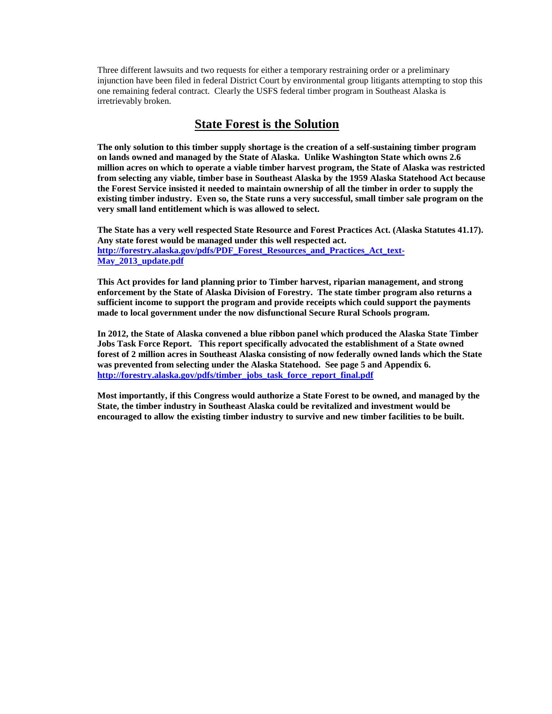Three different lawsuits and two requests for either a temporary restraining order or a preliminary injunction have been filed in federal District Court by environmental group litigants attempting to stop this one remaining federal contract. Clearly the USFS federal timber program in Southeast Alaska is irretrievably broken.

#### **State Forest is the Solution**

**The only solution to this timber supply shortage is the creation of a self-sustaining timber program on lands owned and managed by the State of Alaska. Unlike Washington State which owns 2.6 million acres on which to operate a viable timber harvest program, the State of Alaska was restricted from selecting any viable, timber base in Southeast Alaska by the 1959 Alaska Statehood Act because the Forest Service insisted it needed to maintain ownership of all the timber in order to supply the existing timber industry. Even so, the State runs a very successful, small timber sale program on the very small land entitlement which is was allowed to select.**

**The State has a very well respected State Resource and Forest Practices Act. (Alaska Statutes 41.17). Any state forest would be managed under this well respected act. [http://forestry.alaska.gov/pdfs/PDF\\_Forest\\_Resources\\_and\\_Practices\\_Act\\_text-](http://forestry.alaska.gov/pdfs/PDF_Forest_Resources_and_Practices_Act_text-May_2013_update.pdf)[May\\_2013\\_update.pdf](http://forestry.alaska.gov/pdfs/PDF_Forest_Resources_and_Practices_Act_text-May_2013_update.pdf)**

**This Act provides for land planning prior to Timber harvest, riparian management, and strong enforcement by the State of Alaska Division of Forestry. The state timber program also returns a sufficient income to support the program and provide receipts which could support the payments made to local government under the now disfunctional Secure Rural Schools program.**

**In 2012, the State of Alaska convened a blue ribbon panel which produced the Alaska State Timber Jobs Task Force Report. This report specifically advocated the establishment of a State owned forest of 2 million acres in Southeast Alaska consisting of now federally owned lands which the State was prevented from selecting under the Alaska Statehood. See page 5 and Appendix 6. http://forestry.alaska.gov/pdfs/timber\_jobs\_task\_force\_report\_final.pdf**

**Most importantly, if this Congress would authorize a State Forest to be owned, and managed by the State, the timber industry in Southeast Alaska could be revitalized and investment would be encouraged to allow the existing timber industry to survive and new timber facilities to be built.**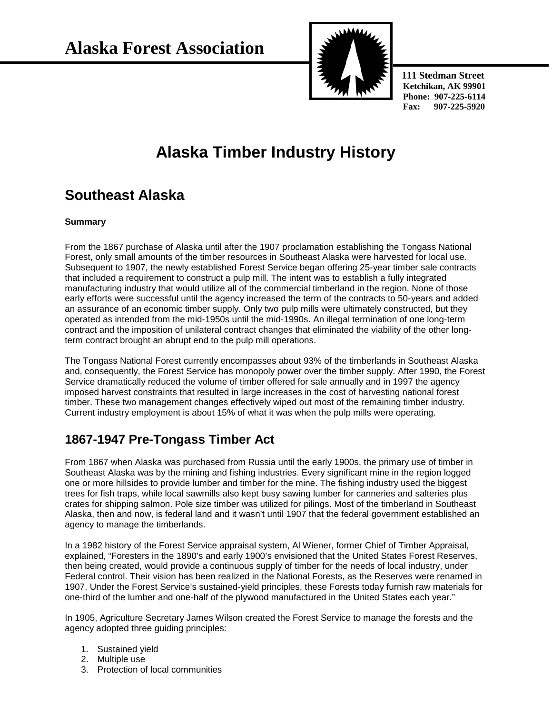

 **111 Stedman Street Ketchikan, AK 99901 Phone: 907-225-6114 Fax: 907-225-5920** 

# **Alaska Timber Industry History**

## **Southeast Alaska**

#### **Summary**

From the 1867 purchase of Alaska until after the 1907 proclamation establishing the Tongass National Forest, only small amounts of the timber resources in Southeast Alaska were harvested for local use. Subsequent to 1907, the newly established Forest Service began offering 25-year timber sale contracts that included a requirement to construct a pulp mill. The intent was to establish a fully integrated manufacturing industry that would utilize all of the commercial timberland in the region. None of those early efforts were successful until the agency increased the term of the contracts to 50-years and added an assurance of an economic timber supply. Only two pulp mills were ultimately constructed, but they operated as intended from the mid-1950s until the mid-1990s. An illegal termination of one long-term contract and the imposition of unilateral contract changes that eliminated the viability of the other longterm contract brought an abrupt end to the pulp mill operations.

The Tongass National Forest currently encompasses about 93% of the timberlands in Southeast Alaska and, consequently, the Forest Service has monopoly power over the timber supply. After 1990, the Forest Service dramatically reduced the volume of timber offered for sale annually and in 1997 the agency imposed harvest constraints that resulted in large increases in the cost of harvesting national forest timber. These two management changes effectively wiped out most of the remaining timber industry. Current industry employment is about 15% of what it was when the pulp mills were operating.

## **1867-1947 Pre-Tongass Timber Act**

From 1867 when Alaska was purchased from Russia until the early 1900s, the primary use of timber in Southeast Alaska was by the mining and fishing industries. Every significant mine in the region logged one or more hillsides to provide lumber and timber for the mine. The fishing industry used the biggest trees for fish traps, while local sawmills also kept busy sawing lumber for canneries and salteries plus crates for shipping salmon. Pole size timber was utilized for pilings. Most of the timberland in Southeast Alaska, then and now, is federal land and it wasn't until 1907 that the federal government established an agency to manage the timberlands.

In a 1982 history of the Forest Service appraisal system, Al Wiener, former Chief of Timber Appraisal, explained, "Foresters in the 1890's and early 1900's envisioned that the United States Forest Reserves, then being created, would provide a continuous supply of timber for the needs of local industry, under Federal control. Their vision has been realized in the National Forests, as the Reserves were renamed in 1907. Under the Forest Service's sustained-yield principles, these Forests today furnish raw materials for one-third of the lumber and one-half of the plywood manufactured in the United States each year."

In 1905, Agriculture Secretary James Wilson created the Forest Service to manage the forests and the agency adopted three guiding principles:

- 1. Sustained yield
- 2. Multiple use
- 3. Protection of local communities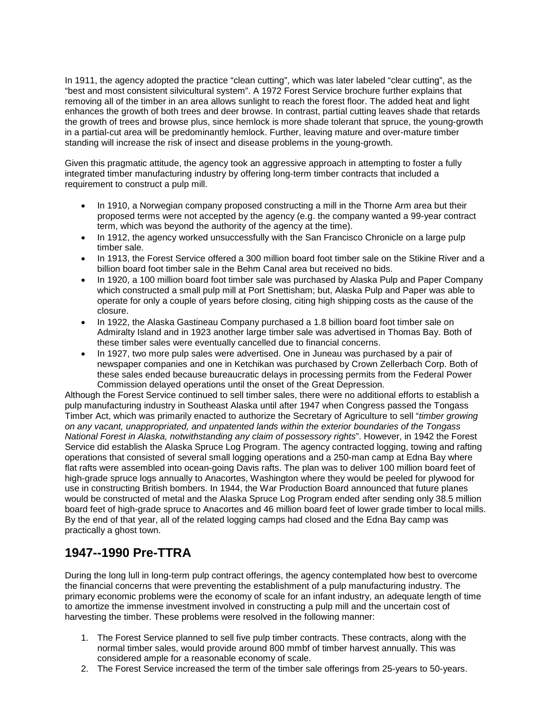In 1911, the agency adopted the practice "clean cutting", which was later labeled "clear cutting", as the "best and most consistent silvicultural system". A 1972 Forest Service brochure further explains that removing all of the timber in an area allows sunlight to reach the forest floor. The added heat and light enhances the growth of both trees and deer browse. In contrast, partial cutting leaves shade that retards the growth of trees and browse plus, since hemlock is more shade tolerant that spruce, the young-growth in a partial-cut area will be predominantly hemlock. Further, leaving mature and over-mature timber standing will increase the risk of insect and disease problems in the young-growth.

Given this pragmatic attitude, the agency took an aggressive approach in attempting to foster a fully integrated timber manufacturing industry by offering long-term timber contracts that included a requirement to construct a pulp mill.

- In 1910, a Norwegian company proposed constructing a mill in the Thorne Arm area but their proposed terms were not accepted by the agency (e.g. the company wanted a 99-year contract term, which was beyond the authority of the agency at the time).
- In 1912, the agency worked unsuccessfully with the San Francisco Chronicle on a large pulp timber sale.
- In 1913, the Forest Service offered a 300 million board foot timber sale on the Stikine River and a billion board foot timber sale in the Behm Canal area but received no bids.
- In 1920, a 100 million board foot timber sale was purchased by Alaska Pulp and Paper Company which constructed a small pulp mill at Port Snettisham; but, Alaska Pulp and Paper was able to operate for only a couple of years before closing, citing high shipping costs as the cause of the closure.
- In 1922, the Alaska Gastineau Company purchased a 1.8 billion board foot timber sale on Admiralty Island and in 1923 another large timber sale was advertised in Thomas Bay. Both of these timber sales were eventually cancelled due to financial concerns.
- In 1927, two more pulp sales were advertised. One in Juneau was purchased by a pair of newspaper companies and one in Ketchikan was purchased by Crown Zellerbach Corp. Both of these sales ended because bureaucratic delays in processing permits from the Federal Power Commission delayed operations until the onset of the Great Depression.

Although the Forest Service continued to sell timber sales, there were no additional efforts to establish a pulp manufacturing industry in Southeast Alaska until after 1947 when Congress passed the Tongass Timber Act, which was primarily enacted to authorize the Secretary of Agriculture to sell "*timber growing on any vacant, unappropriated, and unpatented lands within the exterior boundaries of the Tongass National Forest in Alaska, notwithstanding any claim of possessory rights*". However, in 1942 the Forest Service did establish the Alaska Spruce Log Program. The agency contracted logging, towing and rafting operations that consisted of several small logging operations and a 250-man camp at Edna Bay where flat rafts were assembled into ocean-going Davis rafts. The plan was to deliver 100 million board feet of high-grade spruce logs annually to Anacortes, Washington where they would be peeled for plywood for use in constructing British bombers. In 1944, the War Production Board announced that future planes would be constructed of metal and the Alaska Spruce Log Program ended after sending only 38.5 million board feet of high-grade spruce to Anacortes and 46 million board feet of lower grade timber to local mills. By the end of that year, all of the related logging camps had closed and the Edna Bay camp was practically a ghost town.

## **1947--1990 Pre-TTRA**

During the long lull in long-term pulp contract offerings, the agency contemplated how best to overcome the financial concerns that were preventing the establishment of a pulp manufacturing industry. The primary economic problems were the economy of scale for an infant industry, an adequate length of time to amortize the immense investment involved in constructing a pulp mill and the uncertain cost of harvesting the timber. These problems were resolved in the following manner:

- 1. The Forest Service planned to sell five pulp timber contracts. These contracts, along with the normal timber sales, would provide around 800 mmbf of timber harvest annually. This was considered ample for a reasonable economy of scale.
- 2. The Forest Service increased the term of the timber sale offerings from 25-years to 50-years.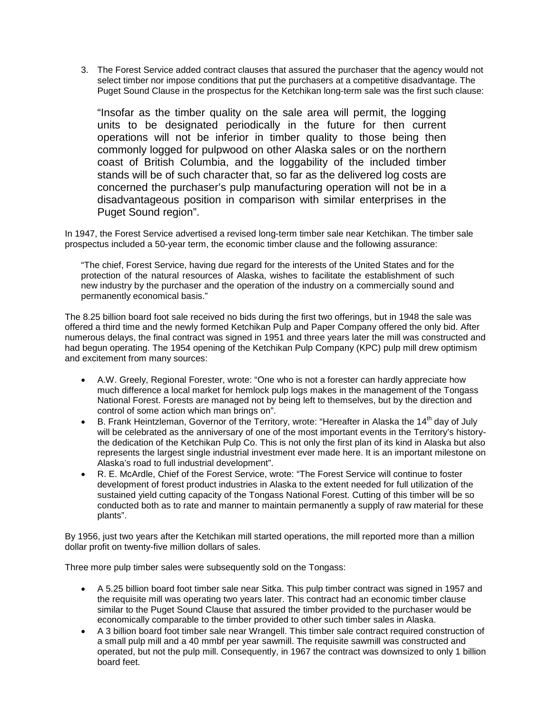3. The Forest Service added contract clauses that assured the purchaser that the agency would not select timber nor impose conditions that put the purchasers at a competitive disadvantage. The Puget Sound Clause in the prospectus for the Ketchikan long-term sale was the first such clause:

"Insofar as the timber quality on the sale area will permit, the logging units to be designated periodically in the future for then current operations will not be inferior in timber quality to those being then commonly logged for pulpwood on other Alaska sales or on the northern coast of British Columbia, and the loggability of the included timber stands will be of such character that, so far as the delivered log costs are concerned the purchaser's pulp manufacturing operation will not be in a disadvantageous position in comparison with similar enterprises in the Puget Sound region".

In 1947, the Forest Service advertised a revised long-term timber sale near Ketchikan. The timber sale prospectus included a 50-year term, the economic timber clause and the following assurance:

"The chief, Forest Service, having due regard for the interests of the United States and for the protection of the natural resources of Alaska, wishes to facilitate the establishment of such new industry by the purchaser and the operation of the industry on a commercially sound and permanently economical basis."

The 8.25 billion board foot sale received no bids during the first two offerings, but in 1948 the sale was offered a third time and the newly formed Ketchikan Pulp and Paper Company offered the only bid. After numerous delays, the final contract was signed in 1951 and three years later the mill was constructed and had begun operating. The 1954 opening of the Ketchikan Pulp Company (KPC) pulp mill drew optimism and excitement from many sources:

- A.W. Greely, Regional Forester, wrote: "One who is not a forester can hardly appreciate how much difference a local market for hemlock pulp logs makes in the management of the Tongass National Forest. Forests are managed not by being left to themselves, but by the direction and control of some action which man brings on".
- B. Frank Heintzleman, Governor of the Territory, wrote: "Hereafter in Alaska the 14<sup>th</sup> day of July will be celebrated as the anniversary of one of the most important events in the Territory's historythe dedication of the Ketchikan Pulp Co. This is not only the first plan of its kind in Alaska but also represents the largest single industrial investment ever made here. It is an important milestone on Alaska's road to full industrial development".
- R. E. McArdle, Chief of the Forest Service, wrote: "The Forest Service will continue to foster development of forest product industries in Alaska to the extent needed for full utilization of the sustained yield cutting capacity of the Tongass National Forest. Cutting of this timber will be so conducted both as to rate and manner to maintain permanently a supply of raw material for these plants".

By 1956, just two years after the Ketchikan mill started operations, the mill reported more than a million dollar profit on twenty-five million dollars of sales.

Three more pulp timber sales were subsequently sold on the Tongass:

- A 5.25 billion board foot timber sale near Sitka. This pulp timber contract was signed in 1957 and the requisite mill was operating two years later. This contract had an economic timber clause similar to the Puget Sound Clause that assured the timber provided to the purchaser would be economically comparable to the timber provided to other such timber sales in Alaska.
- A 3 billion board foot timber sale near Wrangell. This timber sale contract required construction of a small pulp mill and a 40 mmbf per year sawmill. The requisite sawmill was constructed and operated, but not the pulp mill. Consequently, in 1967 the contract was downsized to only 1 billion board feet.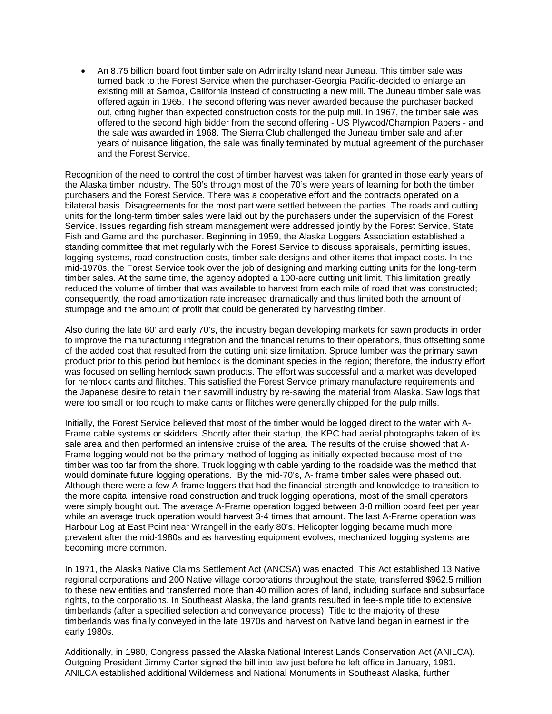• An 8.75 billion board foot timber sale on Admiralty Island near Juneau. This timber sale was turned back to the Forest Service when the purchaser-Georgia Pacific-decided to enlarge an existing mill at Samoa, California instead of constructing a new mill. The Juneau timber sale was offered again in 1965. The second offering was never awarded because the purchaser backed out, citing higher than expected construction costs for the pulp mill. In 1967, the timber sale was offered to the second high bidder from the second offering - US Plywood/Champion Papers - and the sale was awarded in 1968. The Sierra Club challenged the Juneau timber sale and after years of nuisance litigation, the sale was finally terminated by mutual agreement of the purchaser and the Forest Service.

Recognition of the need to control the cost of timber harvest was taken for granted in those early years of the Alaska timber industry. The 50's through most of the 70's were years of learning for both the timber purchasers and the Forest Service. There was a cooperative effort and the contracts operated on a bilateral basis. Disagreements for the most part were settled between the parties. The roads and cutting units for the long-term timber sales were laid out by the purchasers under the supervision of the Forest Service. Issues regarding fish stream management were addressed jointly by the Forest Service, State Fish and Game and the purchaser. Beginning in 1959, the Alaska Loggers Association established a standing committee that met regularly with the Forest Service to discuss appraisals, permitting issues, logging systems, road construction costs, timber sale designs and other items that impact costs. In the mid-1970s, the Forest Service took over the job of designing and marking cutting units for the long-term timber sales. At the same time, the agency adopted a 100-acre cutting unit limit. This limitation greatly reduced the volume of timber that was available to harvest from each mile of road that was constructed; consequently, the road amortization rate increased dramatically and thus limited both the amount of stumpage and the amount of profit that could be generated by harvesting timber.

Also during the late 60' and early 70's, the industry began developing markets for sawn products in order to improve the manufacturing integration and the financial returns to their operations, thus offsetting some of the added cost that resulted from the cutting unit size limitation. Spruce lumber was the primary sawn product prior to this period but hemlock is the dominant species in the region; therefore, the industry effort was focused on selling hemlock sawn products. The effort was successful and a market was developed for hemlock cants and flitches. This satisfied the Forest Service primary manufacture requirements and the Japanese desire to retain their sawmill industry by re-sawing the material from Alaska. Saw logs that were too small or too rough to make cants or flitches were generally chipped for the pulp mills.

Initially, the Forest Service believed that most of the timber would be logged direct to the water with A-Frame cable systems or skidders. Shortly after their startup, the KPC had aerial photographs taken of its sale area and then performed an intensive cruise of the area. The results of the cruise showed that A-Frame logging would not be the primary method of logging as initially expected because most of the timber was too far from the shore. Truck logging with cable yarding to the roadside was the method that would dominate future logging operations. By the mid-70's, A- frame timber sales were phased out. Although there were a few A-frame loggers that had the financial strength and knowledge to transition to the more capital intensive road construction and truck logging operations, most of the small operators were simply bought out. The average A-Frame operation logged between 3-8 million board feet per year while an average truck operation would harvest 3-4 times that amount. The last A-Frame operation was Harbour Log at East Point near Wrangell in the early 80's. Helicopter logging became much more prevalent after the mid-1980s and as harvesting equipment evolves, mechanized logging systems are becoming more common.

In 1971, the Alaska Native Claims Settlement Act (ANCSA) was enacted. This Act established 13 Native regional corporations and 200 Native village corporations throughout the state, transferred \$962.5 million to these new entities and transferred more than 40 million acres of land, including surface and subsurface rights, to the corporations. In Southeast Alaska, the land grants resulted in fee-simple title to extensive timberlands (after a specified selection and conveyance process). Title to the majority of these timberlands was finally conveyed in the late 1970s and harvest on Native land began in earnest in the early 1980s.

Additionally, in 1980, Congress passed the Alaska National Interest Lands Conservation Act (ANILCA). Outgoing President Jimmy Carter signed the bill into law just before he left office in January, 1981. ANILCA established additional Wilderness and National Monuments in Southeast Alaska, further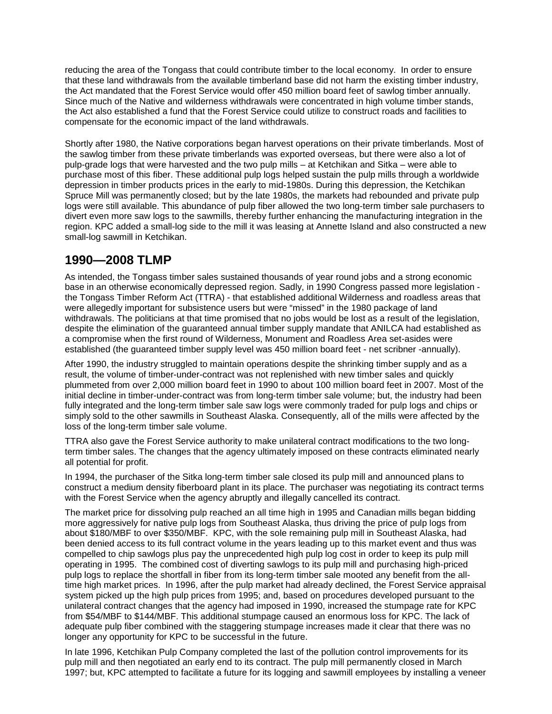reducing the area of the Tongass that could contribute timber to the local economy. In order to ensure that these land withdrawals from the available timberland base did not harm the existing timber industry, the Act mandated that the Forest Service would offer 450 million board feet of sawlog timber annually. Since much of the Native and wilderness withdrawals were concentrated in high volume timber stands, the Act also established a fund that the Forest Service could utilize to construct roads and facilities to compensate for the economic impact of the land withdrawals.

Shortly after 1980, the Native corporations began harvest operations on their private timberlands. Most of the sawlog timber from these private timberlands was exported overseas, but there were also a lot of pulp-grade logs that were harvested and the two pulp mills – at Ketchikan and Sitka – were able to purchase most of this fiber. These additional pulp logs helped sustain the pulp mills through a worldwide depression in timber products prices in the early to mid-1980s. During this depression, the Ketchikan Spruce Mill was permanently closed; but by the late 1980s, the markets had rebounded and private pulp logs were still available. This abundance of pulp fiber allowed the two long-term timber sale purchasers to divert even more saw logs to the sawmills, thereby further enhancing the manufacturing integration in the region. KPC added a small-log side to the mill it was leasing at Annette Island and also constructed a new small-log sawmill in Ketchikan.

## **1990—2008 TLMP**

As intended, the Tongass timber sales sustained thousands of year round jobs and a strong economic base in an otherwise economically depressed region. Sadly, in 1990 Congress passed more legislation the Tongass Timber Reform Act (TTRA) - that established additional Wilderness and roadless areas that were allegedly important for subsistence users but were "missed" in the 1980 package of land withdrawals. The politicians at that time promised that no jobs would be lost as a result of the legislation, despite the elimination of the guaranteed annual timber supply mandate that ANILCA had established as a compromise when the first round of Wilderness, Monument and Roadless Area set-asides were established (the guaranteed timber supply level was 450 million board feet - net scribner -annually).

After 1990, the industry struggled to maintain operations despite the shrinking timber supply and as a result, the volume of timber-under-contract was not replenished with new timber sales and quickly plummeted from over 2,000 million board feet in 1990 to about 100 million board feet in 2007. Most of the initial decline in timber-under-contract was from long-term timber sale volume; but, the industry had been fully integrated and the long-term timber sale saw logs were commonly traded for pulp logs and chips or simply sold to the other sawmills in Southeast Alaska. Consequently, all of the mills were affected by the loss of the long-term timber sale volume.

TTRA also gave the Forest Service authority to make unilateral contract modifications to the two longterm timber sales. The changes that the agency ultimately imposed on these contracts eliminated nearly all potential for profit.

In 1994, the purchaser of the Sitka long-term timber sale closed its pulp mill and announced plans to construct a medium density fiberboard plant in its place. The purchaser was negotiating its contract terms with the Forest Service when the agency abruptly and illegally cancelled its contract.

The market price for dissolving pulp reached an all time high in 1995 and Canadian mills began bidding more aggressively for native pulp logs from Southeast Alaska, thus driving the price of pulp logs from about \$180/MBF to over \$350/MBF. KPC, with the sole remaining pulp mill in Southeast Alaska, had been denied access to its full contract volume in the years leading up to this market event and thus was compelled to chip sawlogs plus pay the unprecedented high pulp log cost in order to keep its pulp mill operating in 1995. The combined cost of diverting sawlogs to its pulp mill and purchasing high-priced pulp logs to replace the shortfall in fiber from its long-term timber sale mooted any benefit from the alltime high market prices. In 1996, after the pulp market had already declined, the Forest Service appraisal system picked up the high pulp prices from 1995; and, based on procedures developed pursuant to the unilateral contract changes that the agency had imposed in 1990, increased the stumpage rate for KPC from \$54/MBF to \$144/MBF. This additional stumpage caused an enormous loss for KPC. The lack of adequate pulp fiber combined with the staggering stumpage increases made it clear that there was no longer any opportunity for KPC to be successful in the future.

In late 1996, Ketchikan Pulp Company completed the last of the pollution control improvements for its pulp mill and then negotiated an early end to its contract. The pulp mill permanently closed in March 1997; but, KPC attempted to facilitate a future for its logging and sawmill employees by installing a veneer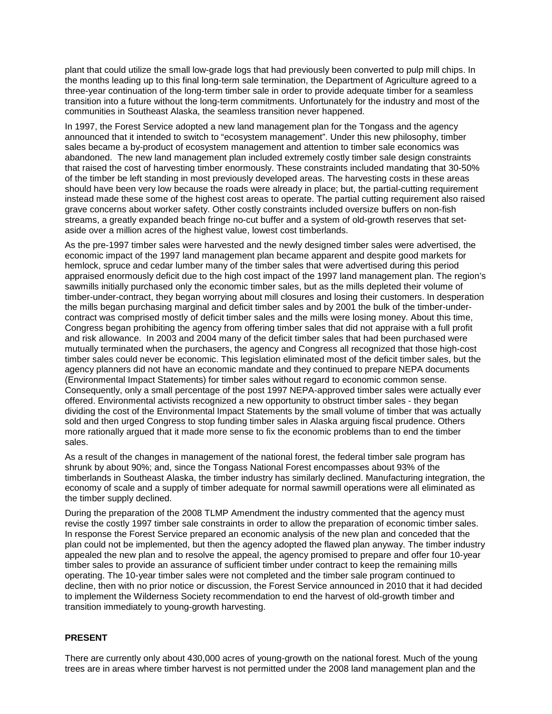plant that could utilize the small low-grade logs that had previously been converted to pulp mill chips. In the months leading up to this final long-term sale termination, the Department of Agriculture agreed to a three-year continuation of the long-term timber sale in order to provide adequate timber for a seamless transition into a future without the long-term commitments. Unfortunately for the industry and most of the communities in Southeast Alaska, the seamless transition never happened.

In 1997, the Forest Service adopted a new land management plan for the Tongass and the agency announced that it intended to switch to "ecosystem management". Under this new philosophy, timber sales became a by-product of ecosystem management and attention to timber sale economics was abandoned. The new land management plan included extremely costly timber sale design constraints that raised the cost of harvesting timber enormously. These constraints included mandating that 30-50% of the timber be left standing in most previously developed areas. The harvesting costs in these areas should have been very low because the roads were already in place; but, the partial-cutting requirement instead made these some of the highest cost areas to operate. The partial cutting requirement also raised grave concerns about worker safety. Other costly constraints included oversize buffers on non-fish streams, a greatly expanded beach fringe no-cut buffer and a system of old-growth reserves that setaside over a million acres of the highest value, lowest cost timberlands.

As the pre-1997 timber sales were harvested and the newly designed timber sales were advertised, the economic impact of the 1997 land management plan became apparent and despite good markets for hemlock, spruce and cedar lumber many of the timber sales that were advertised during this period appraised enormously deficit due to the high cost impact of the 1997 land management plan. The region's sawmills initially purchased only the economic timber sales, but as the mills depleted their volume of timber-under-contract, they began worrying about mill closures and losing their customers. In desperation the mills began purchasing marginal and deficit timber sales and by 2001 the bulk of the timber-undercontract was comprised mostly of deficit timber sales and the mills were losing money. About this time, Congress began prohibiting the agency from offering timber sales that did not appraise with a full profit and risk allowance. In 2003 and 2004 many of the deficit timber sales that had been purchased were mutually terminated when the purchasers, the agency and Congress all recognized that those high-cost timber sales could never be economic. This legislation eliminated most of the deficit timber sales, but the agency planners did not have an economic mandate and they continued to prepare NEPA documents (Environmental Impact Statements) for timber sales without regard to economic common sense. Consequently, only a small percentage of the post 1997 NEPA-approved timber sales were actually ever offered. Environmental activists recognized a new opportunity to obstruct timber sales - they began dividing the cost of the Environmental Impact Statements by the small volume of timber that was actually sold and then urged Congress to stop funding timber sales in Alaska arguing fiscal prudence. Others more rationally argued that it made more sense to fix the economic problems than to end the timber sales.

As a result of the changes in management of the national forest, the federal timber sale program has shrunk by about 90%; and, since the Tongass National Forest encompasses about 93% of the timberlands in Southeast Alaska, the timber industry has similarly declined. Manufacturing integration, the economy of scale and a supply of timber adequate for normal sawmill operations were all eliminated as the timber supply declined.

During the preparation of the 2008 TLMP Amendment the industry commented that the agency must revise the costly 1997 timber sale constraints in order to allow the preparation of economic timber sales. In response the Forest Service prepared an economic analysis of the new plan and conceded that the plan could not be implemented, but then the agency adopted the flawed plan anyway. The timber industry appealed the new plan and to resolve the appeal, the agency promised to prepare and offer four 10-year timber sales to provide an assurance of sufficient timber under contract to keep the remaining mills operating. The 10-year timber sales were not completed and the timber sale program continued to decline, then with no prior notice or discussion, the Forest Service announced in 2010 that it had decided to implement the Wilderness Society recommendation to end the harvest of old-growth timber and transition immediately to young-growth harvesting.

#### **PRESENT**

There are currently only about 430,000 acres of young-growth on the national forest. Much of the young trees are in areas where timber harvest is not permitted under the 2008 land management plan and the